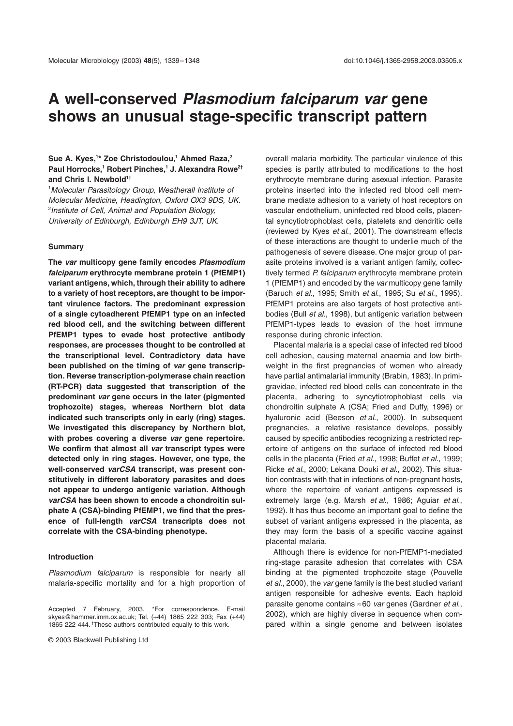# **A well-conserved** *Plasmodium falciparum var* **gene shows an unusual stage-specific transcript pattern**

## **Sue A. Kyes,1 \* Zoe Christodoulou,1 Ahmed Raza,2 Paul Horrocks,1 Robert Pinches,1 J. Alexandra Rowe2†** and Chris I. Newbold<sup>1†</sup>

1 *Molecular Parasitology Group, Weatherall Institute of Molecular Medicine, Headington, Oxford OX3 9DS, UK.* 2 *Institute of Cell, Animal and Population Biology, University of Edinburgh, Edinburgh EH9 3JT, UK.*

## **Summary**

**The** *var* **multicopy gene family encodes** *Plasmodium falciparum* **erythrocyte membrane protein 1 (PfEMP1) variant antigens, which, through their ability to adhere to a variety of host receptors, are thought to be important virulence factors. The predominant expression of a single cytoadherent PfEMP1 type on an infected red blood cell, and the switching between different PfEMP1 types to evade host protective antibody responses, are processes thought to be controlled at the transcriptional level. Contradictory data have been published on the timing of** *var* **gene transcription. Reverse transcription-polymerase chain reaction (RT-PCR) data suggested that transcription of the predominant** *var* **gene occurs in the later (pigmented trophozoite) stages, whereas Northern blot data indicated such transcripts only in early (ring) stages. We investigated this discrepancy by Northern blot, with probes covering a diverse** *var* **gene repertoire. We confirm that almost all** *var* **transcript types were detected only in ring stages. However, one type, the well-conserved** *varCSA* **transcript, was present constitutively in different laboratory parasites and does not appear to undergo antigenic variation. Although** *varCSA* **has been shown to encode a chondroitin sulphate A (CSA)-binding PfEMP1, we find that the presence of full-length** *varCSA* **transcripts does not correlate with the CSA-binding phenotype.**

## **Introduction**

*Plasmodium falciparum* is responsible for nearly all malaria-specific mortality and for a high proportion of overall malaria morbidity. The particular virulence of this species is partly attributed to modifications to the host erythrocyte membrane during asexual infection. Parasite proteins inserted into the infected red blood cell membrane mediate adhesion to a variety of host receptors on vascular endothelium, uninfected red blood cells, placental syncytiotrophoblast cells, platelets and dendritic cells (reviewed by Kyes *et al*., 2001). The downstream effects of these interactions are thought to underlie much of the pathogenesis of severe disease. One major group of parasite proteins involved is a variant antigen family, collectively termed *P. falciparum* erythrocyte membrane protein 1 (PfEMP1) and encoded by the *var* multicopy gene family (Baruch *et al*., 1995; Smith *et al*., 1995; Su *et al*., 1995). PfEMP1 proteins are also targets of host protective antibodies (Bull *et al*., 1998), but antigenic variation between PfEMP1-types leads to evasion of the host immune response during chronic infection.

Placental malaria is a special case of infected red blood cell adhesion, causing maternal anaemia and low birthweight in the first pregnancies of women who already have partial antimalarial immunity (Brabin, 1983). In primigravidae, infected red blood cells can concentrate in the placenta, adhering to syncytiotrophoblast cells via chondroitin sulphate A (CSA; Fried and Duffy, 1996) or hyaluronic acid (Beeson *et al*., 2000). In subsequent pregnancies, a relative resistance develops, possibly caused by specific antibodies recognizing a restricted repertoire of antigens on the surface of infected red blood cells in the placenta (Fried *et al*., 1998; Buffet *et al*., 1999; Ricke *et al*., 2000; Lekana Douki *et al*., 2002). This situation contrasts with that in infections of non-pregnant hosts, where the repertoire of variant antigens expressed is extremely large (e.g. Marsh *et al*., 1986; Aguiar *et al*., 1992). It has thus become an important goal to define the subset of variant antigens expressed in the placenta, as they may form the basis of a specific vaccine against placental malaria.

Although there is evidence for non-PfEMP1-mediated ring-stage parasite adhesion that correlates with CSA binding at the pigmented trophozoite stage (Pouvelle *et al*., 2000), the *var* gene family is the best studied variant antigen responsible for adhesive events. Each haploid parasite genome contains ª60 *var* genes (Gardner *et al*., 2002), which are highly diverse in sequence when compared within a single genome and between isolates

Accepted 7 February, 2003. \*For correspondence. E-mail skyes@hammer.imm.ox.ac.uk; Tel. (+44) 1865 222 303; Fax (+44) 1865 222 444. †These authors contributed equally to this work.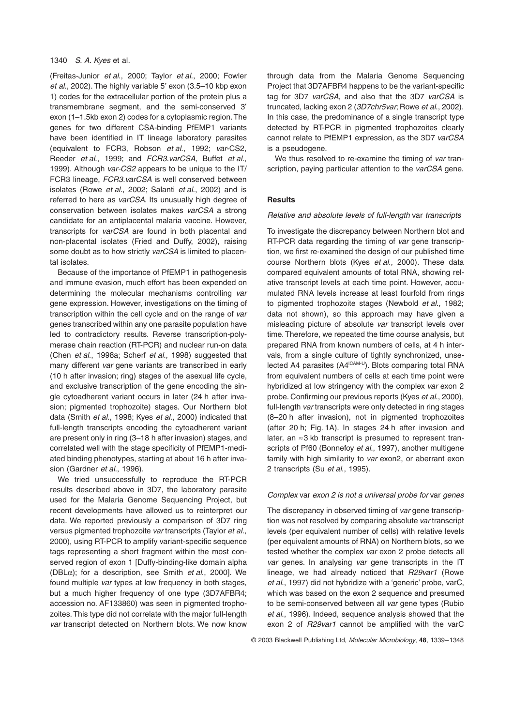## 1340 *S. A. Kyes* et al.

(Freitas-Junior *et al*., 2000; Taylor *et al*., 2000; Fowler et al., 2002). The highly variable 5' exon (3.5–10 kbp exon 1) codes for the extracellular portion of the protein plus a transmembrane segment, and the semi-conserved 3' exon (1–1.5kb exon 2) codes for a cytoplasmic region. The genes for two different CSA-binding PfEMP1 variants have been identified in IT lineage laboratory parasites (equivalent to FCR3, Robson *et al*., 1992; *var*-CS2, Reeder *et al*., 1999; and *FCR3.varCSA*, Buffet *et al*., 1999). Although *var-CS2* appears to be unique to the IT/ FCR3 lineage, *FCR3.varCSA* is well conserved between isolates (Rowe *et al*., 2002; Salanti *et al*., 2002) and is referred to here as *varCSA*. Its unusually high degree of conservation between isolates makes *varCSA* a strong candidate for an antiplacental malaria vaccine. However, transcripts for *varCSA* are found in both placental and non-placental isolates (Fried and Duffy, 2002), raising some doubt as to how strictly *varCSA* is limited to placental isolates.

Because of the importance of PfEMP1 in pathogenesis and immune evasion, much effort has been expended on determining the molecular mechanisms controlling *var* gene expression. However, investigations on the timing of transcription within the cell cycle and on the range of *var* genes transcribed within any one parasite population have led to contradictory results. Reverse transcription-polymerase chain reaction (RT-PCR) and nuclear run-on data (Chen *et al*., 1998a; Scherf *et al*., 1998) suggested that many different *var* gene variants are transcribed in early (10 h after invasion; ring) stages of the asexual life cycle, and exclusive transcription of the gene encoding the single cytoadherent variant occurs in later (24 h after invasion; pigmented trophozoite) stages. Our Northern blot data (Smith *et al*., 1998; Kyes *et al*., 2000) indicated that full-length transcripts encoding the cytoadherent variant are present only in ring (3–18 h after invasion) stages, and correlated well with the stage specificity of PfEMP1-mediated binding phenotypes, starting at about 16 h after invasion (Gardner *et al*., 1996).

We tried unsuccessfully to reproduce the RT-PCR results described above in 3D7, the laboratory parasite used for the Malaria Genome Sequencing Project, but recent developments have allowed us to reinterpret our data. We reported previously a comparison of 3D7 ring versus pigmented trophozoite *var* transcripts (Taylor *et al*., 2000), using RT-PCR to amplify variant-specific sequence tags representing a short fragment within the most conserved region of exon 1 [Duffy-binding-like domain alpha (DBLa); for a description, see Smith *et al*., 2000]. We found multiple *var* types at low frequency in both stages, but a much higher frequency of one type (3D7AFBR4; accession no. AF133860) was seen in pigmented trophozoites. This type did not correlate with the major full-length *var* transcript detected on Northern blots. We now know

through data from the Malaria Genome Sequencing Project that 3D7AFBR4 happens to be the variant-specific tag for 3D7 *varCSA*, and also that the 3D7 *varCSA* is truncated, lacking exon 2 (*3D7chr5var*; Rowe *et al*., 2002). In this case, the predominance of a single transcript type detected by RT-PCR in pigmented trophozoites clearly cannot relate to PfEMP1 expression, as the 3D7 *varCSA* is a pseudogene.

We thus resolved to re-examine the timing of *var* transcription, paying particular attention to the *varCSA* gene.

## **Results**

#### *Relative and absolute levels of full-length* var *transcripts*

To investigate the discrepancy between Northern blot and RT-PCR data regarding the timing of *var* gene transcription, we first re-examined the design of our published time course Northern blots (Kyes *et al*., 2000). These data compared equivalent amounts of total RNA, showing relative transcript levels at each time point. However, accumulated RNA levels increase at least fourfold from rings to pigmented trophozoite stages (Newbold *et al*., 1982; data not shown), so this approach may have given a misleading picture of absolute *var* transcript levels over time. Therefore, we repeated the time course analysis, but prepared RNA from known numbers of cells, at 4 h intervals, from a single culture of tightly synchronized, unselected A4 parasites (A4<sup>ICAM-U</sup>). Blots comparing total RNA from equivalent numbers of cells at each time point were hybridized at low stringency with the complex *var* exon 2 probe. Confirming our previous reports (Kyes *et al*., 2000), full-length *var* transcripts were only detected in ring stages (8–20 h after invasion), not in pigmented trophozoites (after 20 h; Fig. 1A). In stages 24 h after invasion and later, an  $\approx$ 3 kb transcript is presumed to represent transcripts of Pf60 (Bonnefoy *et al*., 1997), another multigene family with high similarity to *var* exon2, or aberrant exon 2 transcripts (Su *et al*., 1995).

#### *Complex* var *exon 2 is not a universal probe for* var *genes*

The discrepancy in observed timing of *var* gene transcription was not resolved by comparing absolute *var* transcript levels (per equivalent number of cells) with relative levels (per equivalent amounts of RNA) on Northern blots, so we tested whether the complex *var* exon 2 probe detects all *var* genes. In analysing *var* gene transcripts in the IT lineage, we had already noticed that *R29var1* (Rowe *et al*., 1997) did not hybridize with a 'generic' probe, varC, which was based on the exon 2 sequence and presumed to be semi-conserved between all *var* gene types (Rubio *et al*., 1996). Indeed, sequence analysis showed that the exon 2 of *R29var1* cannot be amplified with the varC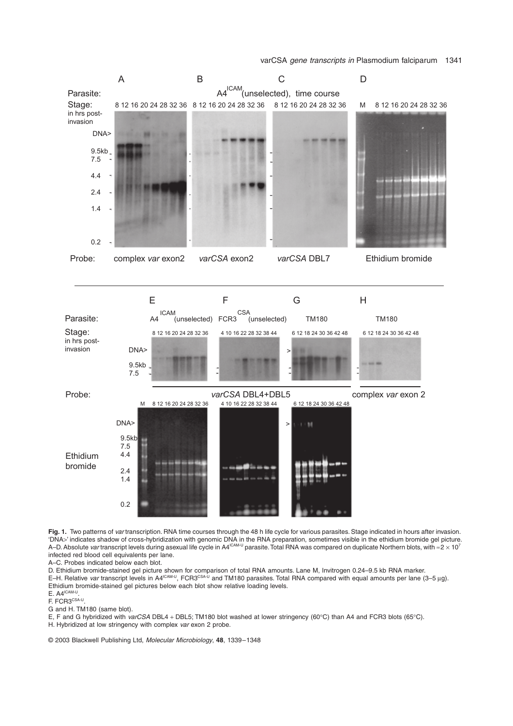

**Fig. 1.** Two patterns of *var* transcription. RNA time courses through the 48 h life cycle for various parasites. Stage indicated in hours after invasion. 'DNA>' indicates shadow of cross-hybridization with genomic DNA in the RNA preparation, sometimes visible in the ethidium bromide gel picture. A–D. Absolute var transcript levels during asexual life cycle in A4<sup>ICAM-U</sup> parasite. Total RNA was compared on duplicate Northern blots, with  $\approx$  2 × 10<sup>7</sup> infected red blood cell equivalents per lane.

A–C. Probes indicated below each blot.

D. Ethidium bromide-stained gel picture shown for comparison of total RNA amounts. Lane M, Invitrogen 0.24–9.5 kb RNA marker. E–H. Relative *var* transcript levels in A4<sup>ICAM-U</sup>, FCR3<sup>CSA-U</sup> and TM180 parasites. Total RNA compared with equal amounts per lane (3–5 µg). Ethidium bromide-stained gel pictures below each blot show relative loading levels.

 $E. A4^{\text{ICAM-U}}$ 

F. FCR3CSA-U

G and H. TM180 (same blot).

E, F and G hybridized with *varCSA* DBL4 + DBL5; TM180 blot washed at lower stringency (60∞C) than A4 and FCR3 blots (65∞C).

H. Hybridized at low stringency with complex *var* exon 2 probe.

© 2003 Blackwell Publishing Ltd, *Molecular Microbiology*, **48**, 1339–1348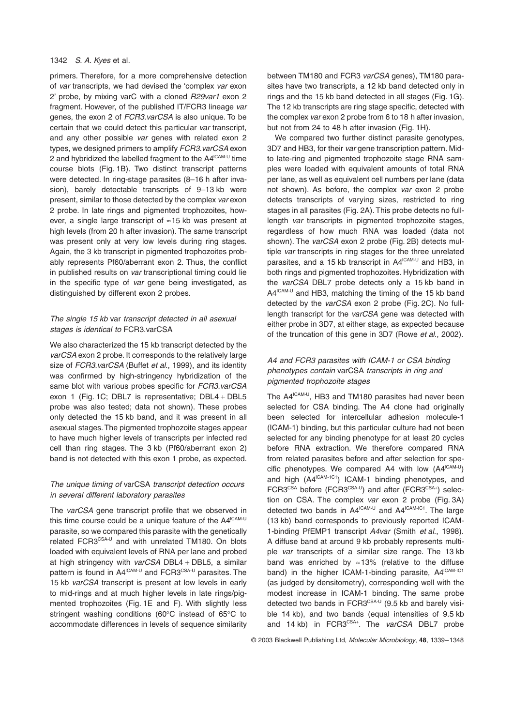## 1342 *S. A. Kyes* et al.

primers. Therefore, for a more comprehensive detection of *var* transcripts, we had devised the 'complex *var* exon 2' probe, by mixing varC with a cloned *R29var1* exon 2 fragment. However, of the published IT/FCR3 lineage *var* genes, the exon 2 of *FCR3.varCSA* is also unique. To be certain that we could detect this particular *var* transcript, and any other possible *var* genes with related exon 2 types, we designed primers to amplify *FCR3.varCSA* exon 2 and hybridized the labelled fragment to the  $AA^{ICAM-U}$  time course blots (Fig. 1B). Two distinct transcript patterns were detected. In ring-stage parasites (8–16 h after invasion), barely detectable transcripts of 9-13 kb were present, similar to those detected by the complex *var* exon 2 probe. In late rings and pigmented trophozoites, however, a single large transcript of  $\approx$  15 kb was present at high levels (from 20 h after invasion). The same transcript was present only at very low levels during ring stages. Again, the 3 kb transcript in pigmented trophozoites probably represents Pf60/aberrant exon 2. Thus, the conflict in published results on *var* transcriptional timing could lie in the specific type of *var* gene being investigated, as distinguished by different exon 2 probes.

# *The single 15 kb* var *transcript detected in all asexual stages is identical to* FCR3.varCSA

We also characterized the 15 kb transcript detected by the *varCSA* exon 2 probe. It corresponds to the relatively large size of *FCR3.varCSA* (Buffet *et al*., 1999), and its identity was confirmed by high-stringency hybridization of the same blot with various probes specific for *FCR3.varCSA* exon 1 (Fig. 1C; DBL7 is representative; DBL4 + DBL5 probe was also tested; data not shown). These probes only detected the 15 kb band, and it was present in all asexual stages. The pigmented trophozoite stages appear to have much higher levels of transcripts per infected red cell than ring stages. The 3 kb (Pf60/aberrant exon 2) band is not detected with this exon 1 probe, as expected.

# *The unique timing of* varCSA *transcript detection occurs in several different laboratory parasites*

The *varCSA* gene transcript profile that we observed in this time course could be a unique feature of the  $AA^{ICAM-U}$ parasite, so we compared this parasite with the genetically related FCR3CSA-U and with unrelated TM180. On blots loaded with equivalent levels of RNA per lane and probed at high stringency with *varCSA* DBL4 + DBL5, a similar pattern is found in A4<sup>ICAM-U</sup> and FCR3<sup>CSA-U</sup> parasites. The 15 kb *varCSA* transcript is present at low levels in early to mid-rings and at much higher levels in late rings/pigmented trophozoites (Fig. 1E and F). With slightly less stringent washing conditions (60∞C instead of 65∞C to accommodate differences in levels of sequence similarity between TM180 and FCR3 *varCSA* genes), TM180 parasites have two transcripts, a 12 kb band detected only in rings and the 15 kb band detected in all stages (Fig. 1G). The 12 kb transcripts are ring stage specific, detected with the complex *var* exon 2 probe from 6 to 18 h after invasion, but not from 24 to 48 h after invasion (Fig. 1H).

We compared two further distinct parasite genotypes, 3D7 and HB3, for their *var* gene transcription pattern. Midto late-ring and pigmented trophozoite stage RNA samples were loaded with equivalent amounts of total RNA per lane, as well as equivalent cell numbers per lane (data not shown). As before, the complex *var* exon 2 probe detects transcripts of varying sizes, restricted to ring stages in all parasites (Fig. 2A). This probe detects no fulllength *var* transcripts in pigmented trophozoite stages, regardless of how much RNA was loaded (data not shown). The *varCSA* exon 2 probe (Fig. 2B) detects multiple *var* transcripts in ring stages for the three unrelated parasites, and a 15 kb transcript in A4<sup>ICAM-U</sup> and HB3. in both rings and pigmented trophozoites. Hybridization with the *varCSA* DBL7 probe detects only a 15 kb band in  $A4^{\text{lCAM-U}}$  and HB3, matching the timing of the 15 kb band detected by the *varCSA* exon 2 probe (Fig. 2C). No fulllength transcript for the *varCSA* gene was detected with either probe in 3D7, at either stage, as expected because of the truncation of this gene in 3D7 (Rowe *et al*., 2002).

# *A4 and FCR3 parasites with ICAM-1 or CSA binding phenotypes contain* varCSA *transcripts in ring and pigmented trophozoite stages*

The A4<sup>ICAM-U</sup>, HB3 and TM180 parasites had never been selected for CSA binding. The A4 clone had originally been selected for intercellular adhesion molecule-1 (ICAM-1) binding, but this particular culture had not been selected for any binding phenotype for at least 20 cycles before RNA extraction. We therefore compared RNA from related parasites before and after selection for specific phenotypes. We compared A4 with low  $(A4^{\text{lCAM-U}})$ and high  $(A4^{|CAM+1C1})$  ICAM-1 binding phenotypes, and FCR3<sup>CSA</sup> before (FCR3<sup>CSA-U</sup>) and after (FCR3<sup>CSA+</sup>) selection on CSA. The complex *var* exon 2 probe (Fig. 3A) detected two bands in  $AA^{ICAM-U}$  and  $AA^{ICAM-IC1}$ . The large (13 kb) band corresponds to previously reported ICAM-1-binding PfEMP1 transcript *A4var* (Smith *et al*., 1998). A diffuse band at around 9 kb probably represents multiple *var* transcripts of a similar size range. The 13 kb band was enriched by  $\approx$ 13% (relative to the diffuse band) in the higher ICAM-1-binding parasite,  $AA^{ICAM-IC1}$ (as judged by densitometry), corresponding well with the modest increase in ICAM-1 binding. The same probe detected two bands in  $FCR3^{CSA-U}$  (9.5 kb and barely visible 14 kb), and two bands (equal intensities of 9.5 kb and 14 kb) in FCR3<sup>CSA+</sup>. The *varCSA* DBL7 probe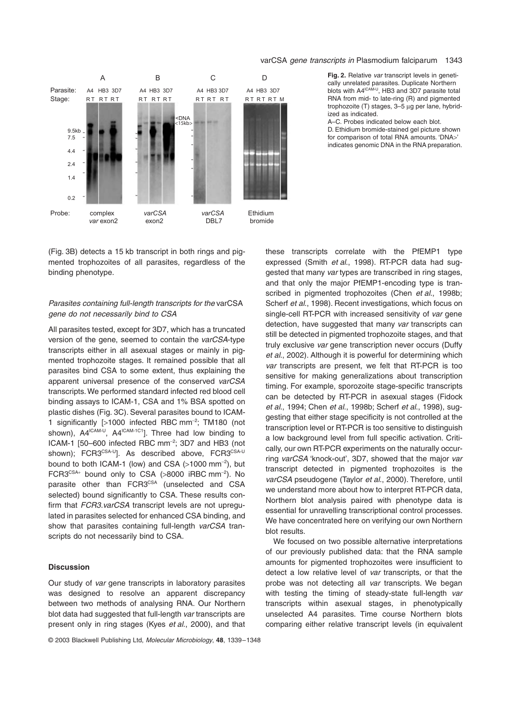

**Fig. 2.** Relative *var* transcript levels in genetically unrelated parasites. Duplicate Northern blots with A4<sup>ICAM-U</sup>, HB3 and 3D7 parasite total RNA from mid- to late-ring (R) and pigmented trophozoite (T) stages, 3-5 µg per lane, hybridized as indicated.

A–C. Probes indicated below each blot. D. Ethidium bromide-stained gel picture shown for comparison of total RNA amounts. 'DNA>' indicates genomic DNA in the RNA preparation.

(Fig. 3B) detects a 15 kb transcript in both rings and pigmented trophozoites of all parasites, regardless of the binding phenotype.

## *Parasites containing full-length transcripts for the* varCSA *gene do not necessarily bind to CSA*

All parasites tested, except for 3D7, which has a truncated version of the gene, seemed to contain the *varCSA*-type transcripts either in all asexual stages or mainly in pigmented trophozoite stages. It remained possible that all parasites bind CSA to some extent, thus explaining the apparent universal presence of the conserved *varCSA* transcripts. We performed standard infected red blood cell binding assays to ICAM-1, CSA and 1% BSA spotted on plastic dishes (Fig. 3C). Several parasites bound to ICAM-1 significantly [>1000 infected RBC mm-<sup>2</sup> ; TM180 (not shown),  $AA^{ICAM-U}$ ,  $AA^{ICAM-1C1}$ . Three had low binding to ICAM-1 [50-600 infected RBC mm<sup>-2</sup>; 3D7 and HB3 (not shown); FCR3CSA-U<sub>l</sub>. As described above, FCR3CSA-U bound to both ICAM-1 (low) and CSA (>1000 mm $^{-2}$ ), but  $FCR3^{CSA+}$  bound only to CSA (>8000 iRBC mm<sup>-2</sup>). No parasite other than FCR3CSA (unselected and CSA selected) bound significantly to CSA. These results confirm that *FCR3.varCSA* transcript levels are not upregulated in parasites selected for enhanced CSA binding, and show that parasites containing full-length *varCSA* transcripts do not necessarily bind to CSA.

#### **Discussion**

Our study of *var* gene transcripts in laboratory parasites was designed to resolve an apparent discrepancy between two methods of analysing RNA. Our Northern blot data had suggested that full-length *var* transcripts are present only in ring stages (Kyes *et al*., 2000), and that these transcripts correlate with the PfEMP1 type expressed (Smith *et al*., 1998). RT-PCR data had suggested that many *var* types are transcribed in ring stages, and that only the major PfEMP1-encoding type is transcribed in pigmented trophozoites (Chen *et al*., 1998b; Scherf *et al*., 1998). Recent investigations, which focus on single-cell RT-PCR with increased sensitivity of *var* gene detection, have suggested that many *var* transcripts can still be detected in pigmented trophozoite stages, and that truly exclusive *var* gene transcription never occurs (Duffy *et al*., 2002). Although it is powerful for determining which *var* transcripts are present, we felt that RT-PCR is too sensitive for making generalizations about transcription timing. For example, sporozoite stage-specific transcripts can be detected by RT-PCR in asexual stages (Fidock *et al*., 1994; Chen *et al*., 1998b; Scherf *et al*., 1998), suggesting that either stage specificity is not controlled at the transcription level or RT-PCR is too sensitive to distinguish a low background level from full specific activation. Critically, our own RT-PCR experiments on the naturally occurring *varCSA* 'knock-out', 3D7, showed that the major *var* transcript detected in pigmented trophozoites is the *varCSA* pseudogene (Taylor *et al*., 2000). Therefore, until we understand more about how to interpret RT-PCR data, Northern blot analysis paired with phenotype data is essential for unravelling transcriptional control processes. We have concentrated here on verifying our own Northern blot results.

We focused on two possible alternative interpretations of our previously published data: that the RNA sample amounts for pigmented trophozoites were insufficient to detect a low relative level of *var* transcripts, or that the probe was not detecting all *var* transcripts. We began with testing the timing of steady-state full-length *var* transcripts within asexual stages, in phenotypically unselected A4 parasites. Time course Northern blots comparing either relative transcript levels (in equivalent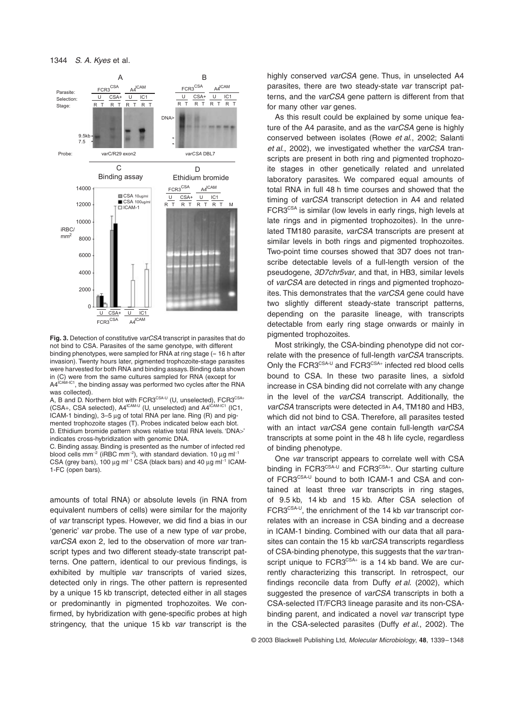

**Fig. 3.** Detection of constitutive *varCSA* transcript in parasites that do not bind to CSA. Parasites of the same genotype, with different binding phenotypes, were sampled for RNA at ring stage ( $\approx$  16 h after invasion). Twenty hours later, pigmented trophozoite-stage parasites were harvested for both RNA and binding assays. Binding data shown in (C) were from the same cultures sampled for RNA (except for A4<sup>ICAM-IC1</sup>, the binding assay was performed two cycles after the RNA was collected).

A, B and D. Northern blot with FCR3 $^{\text{CSA-U}}$  (U, unselected), FCR3 $^{\text{CSA+}}$  $(CSA<sub>+</sub>, CSA selected), A4<sup>ICAM-U</sup> (U, unselected) and A4<sup>ICAM-IC1</sup> (IC1,$ ICAM-1 binding), 3-5 µg of total RNA per lane. Ring (R) and pigmented trophozoite stages (T). Probes indicated below each blot. D. Ethidium bromide pattern shows relative total RNA levels. 'DNA>' indicates cross-hybridization with genomic DNA.

C. Binding assay. Binding is presented as the number of infected red blood cells mm<sup>-2</sup> (iRBC mm<sup>-2</sup>), with standard deviation. 10  $\mu$ g ml<sup>-1</sup>  $CSA$  (grey bars), 100  $\mu$ g ml<sup>-1</sup> CSA (black bars) and 40  $\mu$ g ml<sup>-1</sup> ICAM-1-FC (open bars).

amounts of total RNA) or absolute levels (in RNA from equivalent numbers of cells) were similar for the majority of *var* transcript types. However, we did find a bias in our 'generic' *var* probe. The use of a new type of *var* probe, *varCSA* exon 2, led to the observation of more *var* transcript types and two different steady-state transcript patterns. One pattern, identical to our previous findings, is exhibited by multiple *var* transcripts of varied sizes, detected only in rings. The other pattern is represented by a unique 15 kb transcript, detected either in all stages or predominantly in pigmented trophozoites. We confirmed, by hybridization with gene-specific probes at high stringency, that the unique 15 kb *var* transcript is the highly conserved *varCSA* gene. Thus, in unselected A4 parasites, there are two steady-state *var* transcript patterns, and the *varCSA* gene pattern is different from that for many other *var* genes.

As this result could be explained by some unique feature of the A4 parasite, and as the *varCSA* gene is highly conserved between isolates (Rowe *et al*., 2002; Salanti *et al*., 2002), we investigated whether the *varCSA* transcripts are present in both ring and pigmented trophozoite stages in other genetically related and unrelated laboratory parasites. We compared equal amounts of total RNA in full 48 h time courses and showed that the timing of *varCSA* transcript detection in A4 and related FCR3<sup>CSA</sup> is similar (low levels in early rings, high levels at late rings and in pigmented trophozoites). In the unrelated TM180 parasite, *varCSA* transcripts are present at similar levels in both rings and pigmented trophozoites. Two-point time courses showed that 3D7 does not transcribe detectable levels of a full-length version of the pseudogene, *3D7chr5var*, and that, in HB3, similar levels of *varCSA* are detected in rings and pigmented trophozoites. This demonstrates that the *varCSA* gene could have two slightly different steady-state transcript patterns, depending on the parasite lineage, with transcripts detectable from early ring stage onwards or mainly in pigmented trophozoites.

Most strikingly, the CSA-binding phenotype did not correlate with the presence of full-length *varCSA* transcripts. Only the FCR3CSA-U and FCR3CSA+ infected red blood cells bound to CSA. In these two parasite lines, a sixfold increase in CSA binding did not correlate with any change in the level of the *varCSA* transcript. Additionally, the *varCSA* transcripts were detected in A4, TM180 and HB3, which did not bind to CSA. Therefore, all parasites tested with an intact *varCSA* gene contain full-length *varCSA* transcripts at some point in the 48 h life cycle, regardless of binding phenotype.

One *var* transcript appears to correlate well with CSA binding in FCR3<sup>CSA-U</sup> and FCR3<sup>CSA+</sup>. Our starting culture of FCR3CSA-U bound to both ICAM-1 and CSA and contained at least three *var* transcripts in ring stages, of 9.5 kb, 14 kb and 15 kb. After CSA selection of FCR3<sup>CSA-U</sup>, the enrichment of the 14 kb *var* transcript correlates with an increase in CSA binding and a decrease in ICAM-1 binding. Combined with our data that all parasites can contain the 15 kb *varCSA* transcripts regardless of CSA-binding phenotype, this suggests that the *var* transcript unique to  $FCR3^{CSA+}$  is a 14 kb band. We are currently characterizing this transcript. In retrospect, our findings reconcile data from Duffy *et al*. (2002), which suggested the presence of *varCSA* transcripts in both a CSA-selected IT/FCR3 lineage parasite and its non-CSAbinding parent, and indicated a novel *var* transcript type in the CSA-selected parasites (Duffy *et al*., 2002). The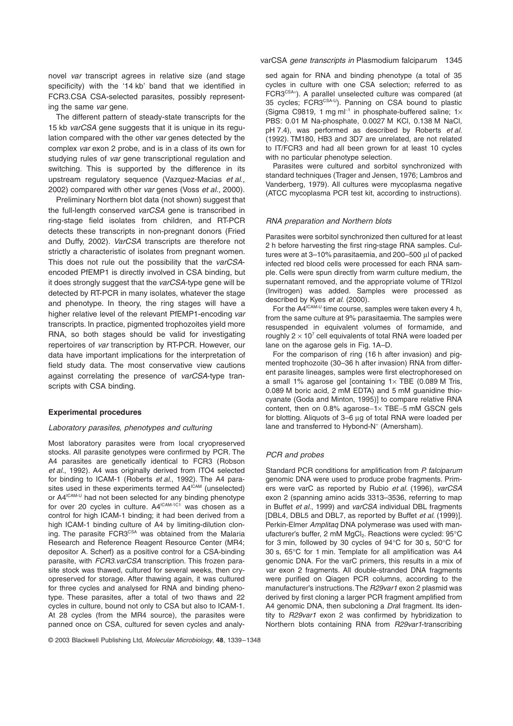novel *var* transcript agrees in relative size (and stage specificity) with the '14 kb' band that we identified in FCR3.CSA CSA-selected parasites, possibly representing the same *var* gene.

The different pattern of steady-state transcripts for the 15 kb *varCSA* gene suggests that it is unique in its regulation compared with the other *var* genes detected by the complex *var* exon 2 probe, and is in a class of its own for studying rules of *var* gene transcriptional regulation and switching. This is supported by the difference in its upstream regulatory sequence (Vazquez-Macias *et al*., 2002) compared with other *var* genes (Voss *et al*., 2000).

Preliminary Northern blot data (not shown) suggest that the full-length conserved *varCSA* gene is transcribed in ring-stage field isolates from children, and RT-PCR detects these transcripts in non-pregnant donors (Fried and Duffy, 2002). *VarCSA* transcripts are therefore not strictly a characteristic of isolates from pregnant women. This does not rule out the possibility that the *varCSA*encoded PfEMP1 is directly involved in CSA binding, but it does strongly suggest that the *varCSA*-type gene will be detected by RT-PCR in many isolates, whatever the stage and phenotype. In theory, the ring stages will have a higher relative level of the relevant PfEMP1-encoding *var* transcripts. In practice, pigmented trophozoites yield more RNA, so both stages should be valid for investigating repertoires of *var* transcription by RT-PCR. However, our data have important implications for the interpretation of field study data. The most conservative view cautions against correlating the presence of *varCSA*-type transcripts with CSA binding.

#### **Experimental procedures**

#### *Laboratory parasites, phenotypes and culturing*

Most laboratory parasites were from local cryopreserved stocks. All parasite genotypes were confirmed by PCR. The A4 parasites are genetically identical to FCR3 (Robson *et al*., 1992). A4 was originally derived from ITO4 selected for binding to ICAM-1 (Roberts *et al*., 1992). The A4 parasites used in these experiments termed A4<sup>ICAM</sup> (unselected) or A4<sup>ICAM-U</sup> had not been selected for any binding phenotype for over 20 cycles in culture.  $A4^{\text{ICAM-1C1}}$  was chosen as a control for high ICAM-1 binding; it had been derived from a high ICAM-1 binding culture of A4 by limiting-dilution cloning. The parasite FCR3<sup>CSA</sup> was obtained from the Malaria Research and Reference Reagent Resource Center (MR4; depositor A. Scherf) as a positive control for a CSA-binding parasite, with *FCR3.varCSA* transcription. This frozen parasite stock was thawed, cultured for several weeks, then cryopreserved for storage. After thawing again, it was cultured for three cycles and analysed for RNA and binding phenotype. These parasites, after a total of two thaws and 22 cycles in culture, bound not only to CSA but also to ICAM-1. At 28 cycles (from the MR4 source), the parasites were panned once on CSA, cultured for seven cycles and analysed again for RNA and binding phenotype (a total of 35 cycles in culture with one CSA selection; referred to as FCR3<sup>CSA+</sup>). A parallel unselected culture was compared (at 35 cycles; FCR3CSA-U). Panning on CSA bound to plastic (Sigma C9819, 1 mg m $I^{-1}$  in phosphate-buffered saline; 1 $\times$ PBS: 0.01 M Na-phosphate, 0.0027 M KCl, 0.138 M NaCl, pH 7.4), was performed as described by Roberts *et al*. (1992). TM180, HB3 and 3D7 are unrelated, are not related to IT/FCR3 and had all been grown for at least 10 cycles with no particular phenotype selection.

Parasites were cultured and sorbitol synchronized with standard techniques (Trager and Jensen, 1976; Lambros and Vanderberg, 1979). All cultures were mycoplasma negative (ATCC mycoplasma PCR test kit, according to instructions).

#### *RNA preparation and Northern blots*

Parasites were sorbitol synchronized then cultured for at least 2 h before harvesting the first ring-stage RNA samples. Cultures were at  $3-10\%$  parasitaemia, and 200-500  $\mu$ l of packed infected red blood cells were processed for each RNA sample. Cells were spun directly from warm culture medium, the supernatant removed, and the appropriate volume of TRIzol (Invitrogen) was added. Samples were processed as described by Kyes *et al*. (2000).

For the  $AA^{ICAM-U}$  time course, samples were taken every 4 h, from the same culture at 9% parasitaemia. The samples were resuspended in equivalent volumes of formamide, and roughly  $2 \times 10^7$  cell equivalents of total RNA were loaded per lane on the agarose gels in Fig. 1A–D.

For the comparison of ring (16 h after invasion) and pigmented trophozoite (30–36 h after invasion) RNA from different parasite lineages, samples were first electrophoresed on a small 1% agarose gel [containing  $1 \times$  TBE (0.089 M Tris, 0.089 M boric acid, 2 mM EDTA) and 5 mM guanidine thiocyanate (Goda and Minton, 1995)] to compare relative RNA content, then on  $0.8\%$  agarose-1 $\times$  TBE-5 mM GSCN gels for blotting. Aliquots of 3-6 µg of total RNA were loaded per lane and transferred to Hybond-N<sup>+</sup> (Amersham).

#### *PCR and probes*

Standard PCR conditions for amplification from *P. falciparum* genomic DNA were used to produce probe fragments. Primers were varC as reported by Rubio *et al*. (1996), *varCSA* exon 2 (spanning amino acids 3313–3536, referring to map in Buffet *et al*., 1999) and *varCSA* individual DBL fragments [DBL4, DBL5 and DBL7, as reported by Buffet *et al*. (1999)]. Perkin-Elmer *Amplitaq* DNA polymerase was used with manufacturer's buffer, 2 mM MgCl<sub>2</sub>. Reactions were cycled: 95°C for 3 min, followed by 30 cycles of 94∞C for 30 s, 50∞C for 30 s, 65∞C for 1 min. Template for all amplification was A4 genomic DNA. For the varC primers, this results in a mix of *var* exon 2 fragments. All double-stranded DNA fragments were purified on Qiagen PCR columns, according to the manufacturer's instructions. The *R29var1* exon 2 plasmid was derived by first cloning a larger PCR fragment amplified from A4 genomic DNA, then subcloning a *Dra*I fragment. Its identity to *R29var1* exon 2 was confirmed by hybridization to Northern blots containing RNA from *R29var1*-transcribing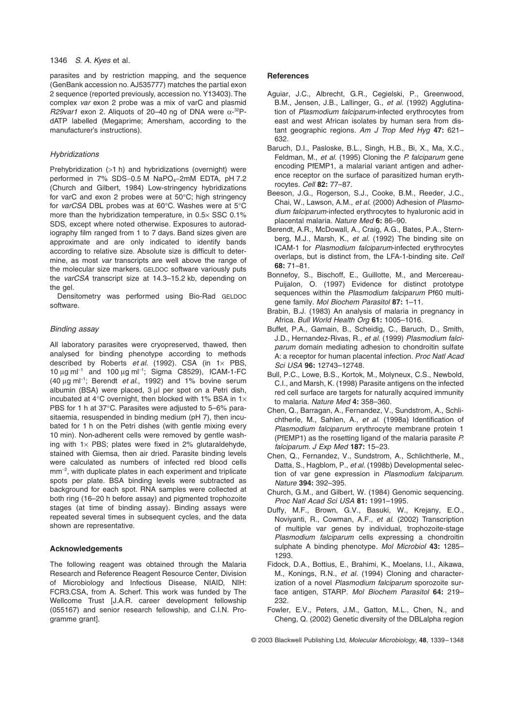### 1346 *S. A. Kyes* et al.

parasites and by restriction mapping, and the sequence (GenBank accession no. AJ535777) matches the partial exon 2 sequence (reported previously, accession no. Y13403). The complex *var* exon 2 probe was a mix of varC and plasmid  $R29$ var1 exon 2. Aliquots of 20–40 ng of DNA were  $\alpha$ -<sup>32</sup>PdATP labelled (Megaprime; Amersham, according to the manufacturer's instructions).

## *Hybridizations*

Prehybridization (>1 h) and hybridizations (overnight) were performed in  $7\%$  SDS-0.5 M NaPO $_4$ -2mM EDTA, pH 7.2 (Church and Gilbert, 1984) Low-stringency hybridizations for varC and exon 2 probes were at 50∞C; high stringency for *varCSA* DBL probes was at 60∞C. Washes were at 5∞C more than the hybridization temperature, in  $0.5 \times$  SSC  $0.1\%$ SDS, except where noted otherwise. Exposures to autoradiography film ranged from 1 to 7 days. Band sizes given are approximate and are only indicated to identify bands according to relative size. Absolute size is difficult to determine, as most *var* transcripts are well above the range of the molecular size markers. GELDOC software variously puts the *varCSA* transcript size at 14.3–15.2 kb, depending on the gel.

Densitometry was performed using Bio-Rad GELDOC software.

# *Binding assay*

All laboratory parasites were cryopreserved, thawed, then analysed for binding phenotype according to methods described by Roberts *et al.* (1992). CSA (in 1x PBS, 10 μg m $l^{-1}$  and 100 μg m $l^{-1}$ ; Sigma C8529), ICAM-1-FC (40 μg ml<sup>-1</sup>; Berendt *et al.*, 1992) and 1% bovine serum albumin (BSA) were placed, 3 µl per spot on a Petri dish, incubated at 4 $\degree$ C overnight, then blocked with 1% BSA in 1 $\times$ PBS for 1 h at 37∞C. Parasites were adjusted to 5–6% parasitaemia, resuspended in binding medium (pH 7), then incubated for 1 h on the Petri dishes (with gentle mixing every 10 min). Non-adherent cells were removed by gentle washing with  $1 \times$  PBS; plates were fixed in 2% glutaraldehyde, stained with Giemsa, then air dried. Parasite binding levels were calculated as numbers of infected red blood cells mm<sup>-2</sup>, with duplicate plates in each experiment and triplicate spots per plate. BSA binding levels were subtracted as background for each spot. RNA samples were collected at both ring (16–20 h before assay) and pigmented trophozoite stages (at time of binding assay). Binding assays were repeated several times in subsequent cycles, and the data shown are representative.

## **Acknowledgements**

The following reagent was obtained through the Malaria Research and Reference Reagent Resource Center, Division of Microbiology and Infectious Disease, NIAID, NIH: FCR3.CSA, from A. Scherf. This work was funded by The Wellcome Trust [J.A.R. career development fellowship (055167) and senior research fellowship, and C.I.N. Programme grant].

## **References**

- Aguiar, J.C., Albrecht, G.R., Cegielski, P., Greenwood, B.M., Jensen, J.B., Lallinger, G., *et al.* (1992) Agglutination of *Plasmodium falciparum*-infected erythrocytes from east and west African isolates by human sera from distant geographic regions. *Am J Trop Med Hyg* **47:** 621– 632.
- Baruch, D.I., Pasloske, B.L., Singh, H.B., Bi, X., Ma, X.C., Feldman, M., *et al.* (1995) Cloning the *P. falciparum* gene encoding PfEMP1, a malarial variant antigen and adherence receptor on the surface of parasitized human erythrocytes. *Cell* **82:** 77–87.
- Beeson, J.G., Rogerson, S.J., Cooke, B.M., Reeder, J.C., Chai, W., Lawson, A.M., *et al.* (2000) Adhesion of *Plasmodium falciparum*-infected erythrocytes to hyaluronic acid in placental malaria. *Nature Med* **6:** 86–90.
- Berendt, A.R., McDowall, A., Craig, A.G., Bates, P.A., Sternberg, M.J., Marsh, K., *et al.* (1992) The binding site on ICAM-1 for *Plasmodium falciparum*-infected erythrocytes overlaps, but is distinct from, the LFA-1-binding site. *Cell* **68:** 71–81.
- Bonnefoy, S., Bischoff, E., Guillotte, M., and Mercereau-Puijalon, O. (1997) Evidence for distinct prototype sequences within the *Plasmodium falciparum* Pf60 multigene family. *Mol Biochem Parasitol* **87:** 1–11.
- Brabin, B.J. (1983) An analysis of malaria in pregnancy in Africa. *Bull World Health Org* **61:** 1005–1016.
- Buffet, P.A., Gamain, B., Scheidig, C., Baruch, D., Smith, J.D., Hernandez-Rivas, R., *et al.* (1999) *Plasmodium falciparum* domain mediating adhesion to chondroitin sulfate A: a receptor for human placental infection. *Proc Natl Acad Sci USA* **96:** 12743–12748.
- Bull, P.C., Lowe, B.S., Kortok, M., Molyneux, C.S., Newbold, C.I., and Marsh, K. (1998) Parasite antigens on the infected red cell surface are targets for naturally acquired immunity to malaria. *Nature Med* **4:** 358–360.
- Chen, Q., Barragan, A., Fernandez, V., Sundstrom, A., Schlichtherle, M., Sahlen, A., *et al.* (1998a) Identification of *Plasmodium falciparum* erythrocyte membrane protein 1 (PfEMP1) as the rosetting ligand of the malaria parasite *P. falciparum*. *J Exp Med* **187:** 15–23.
- Chen, Q., Fernandez, V., Sundstrom, A., Schlichtherle, M., Datta, S., Hagblom, P., *et al.* (1998b) Developmental selection of var gene expression in *Plasmodium falciparum*. *Nature* **394:** 392–395.
- Church, G.M., and Gilbert, W. (1984) Genomic sequencing. *Proc Natl Acad Sci USA* **81:** 1991–1995.
- Duffy, M.F., Brown, G.V., Basuki, W., Krejany, E.O., Noviyanti, R., Cowman, A.F., *et al.* (2002) Transcription of multiple var genes by individual, trophozoite-stage *Plasmodium falciparum* cells expressing a chondroitin sulphate A binding phenotype. *Mol Microbiol* **43:** 1285– 1293.
- Fidock, D.A., Bottius, E., Brahimi, K., Moelans, I.I., Aikawa, M., Konings, R.N., *et al.* (1994) Cloning and characterization of a novel *Plasmodium falciparum* sporozoite surface antigen, STARP. *Mol Biochem Parasitol* **64:** 219– 232.
- Fowler, E.V., Peters, J.M., Gatton, M.L., Chen, N., and Cheng, Q. (2002) Genetic diversity of the DBLalpha region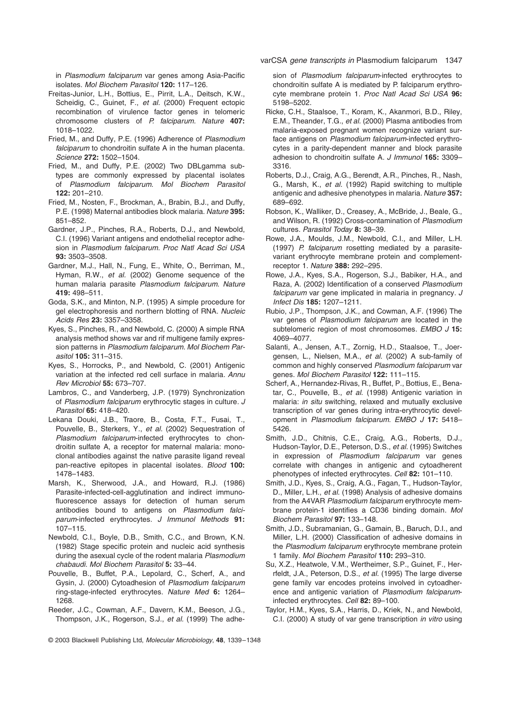in *Plasmodium falciparum* var genes among Asia-Pacific isolates. *Mol Biochem Parasitol* **120:** 117–126.

- Freitas-Junior, L.H., Bottius, E., Pirrit, L.A., Deitsch, K.W., Scheidig, C., Guinet, F., *et al.* (2000) Frequent ectopic recombination of virulence factor genes in telomeric chromosome clusters of *P. falciparum*. *Nature* **407:** 1018–1022.
- Fried, M., and Duffy, P.E. (1996) Adherence of *Plasmodium falciparum* to chondroitin sulfate A in the human placenta. *Science* **272:** 1502–1504.
- Fried, M., and Duffy, P.E. (2002) Two DBLgamma subtypes are commonly expressed by placental isolates of *Plasmodium falciparum*. *Mol Biochem Parasitol* **122:** 201–210.
- Fried, M., Nosten, F., Brockman, A., Brabin, B.J., and Duffy, P.E. (1998) Maternal antibodies block malaria. *Nature* **395:** 851–852.
- Gardner, J.P., Pinches, R.A., Roberts, D.J., and Newbold, C.I. (1996) Variant antigens and endothelial receptor adhesion in *Plasmodium falciparum*. *Proc Natl Acad Sci USA* **93:** 3503–3508.
- Gardner, M.J., Hall, N., Fung, E., White, O., Berriman, M., Hyman, R.W., *et al.* (2002) Genome sequence of the human malaria parasite *Plasmodium falciparum*. *Nature* **419:** 498–511.
- Goda, S.K., and Minton, N.P. (1995) A simple procedure for gel electrophoresis and northern blotting of RNA. *Nucleic Acids Res* **23:** 3357–3358.
- Kyes, S., Pinches, R., and Newbold, C. (2000) A simple RNA analysis method shows var and rif multigene family expression patterns in *Plasmodium falciparum*. *Mol Biochem Parasitol* **105:** 311–315.
- Kyes, S., Horrocks, P., and Newbold, C. (2001) Antigenic variation at the infected red cell surface in malaria. *Annu Rev Microbiol* **55:** 673–707.
- Lambros, C., and Vanderberg, J.P. (1979) Synchronization of *Plasmodium falciparum* erythrocytic stages in culture. *J Parasitol* **65:** 418–420.
- Lekana Douki, J.B., Traore, B., Costa, F.T., Fusai, T., Pouvelle, B., Sterkers, Y., *et al.* (2002) Sequestration of *Plasmodium falciparum*-infected erythrocytes to chondroitin sulfate A, a receptor for maternal malaria: monoclonal antibodies against the native parasite ligand reveal pan-reactive epitopes in placental isolates. *Blood* **100:** 1478–1483.
- Marsh, K., Sherwood, J.A., and Howard, R.J. (1986) Parasite-infected-cell-agglutination and indirect immunofluorescence assays for detection of human serum antibodies bound to antigens on *Plasmodium falciparum*-infected erythrocytes. *J Immunol Methods* **91:** 107–115.
- Newbold, C.I., Boyle, D.B., Smith, C.C., and Brown, K.N. (1982) Stage specific protein and nucleic acid synthesis during the asexual cycle of the rodent malaria *Plasmodium chabaudi*. *Mol Biochem Parasitol* **5:** 33–44.
- Pouvelle, B., Buffet, P.A., Lepolard, C., Scherf, A., and Gysin, J. (2000) Cytoadhesion of *Plasmodium falciparum* ring-stage-infected erythrocytes. *Nature Med* **6:** 1264– 1268.
- Reeder, J.C., Cowman, A.F., Davern, K.M., Beeson, J.G., Thompson, J.K., Rogerson, S.J., *et al.* (1999) The adhe-

© 2003 Blackwell Publishing Ltd, *Molecular Microbiology*, **48**, 1339–1348

sion of *Plasmodium falciparum*-infected erythrocytes to chondroitin sulfate A is mediated by P. falciparum erythrocyte membrane protein 1. *Proc Natl Acad Sci USA* **96:** 5198–5202.

- Ricke, C.H., Staalsoe, T., Koram, K., Akanmori, B.D., Riley, E.M., Theander, T.G., *et al.* (2000) Plasma antibodies from malaria-exposed pregnant women recognize variant surface antigens on *Plasmodium falciparum*-infected erythrocytes in a parity-dependent manner and block parasite adhesion to chondroitin sulfate A. *J Immunol* **165:** 3309– 3316.
- Roberts, D.J., Craig, A.G., Berendt, A.R., Pinches, R., Nash, G., Marsh, K., *et al.* (1992) Rapid switching to multiple antigenic and adhesive phenotypes in malaria. *Nature* **357:** 689–692.
- Robson, K., Walliker, D., Creasey, A., McBride, J., Beale, G., and Wilson, R. (1992) Cross-contamination of *Plasmodium* cultures. *Parasitol Today* **8:** 38–39.
- Rowe, J.A., Moulds, J.M., Newbold, C.I., and Miller, L.H. (1997) *P. falciparum* rosetting mediated by a parasitevariant erythrocyte membrane protein and complementreceptor 1. *Nature* **388:** 292–295.
- Rowe, J.A., Kyes, S.A., Rogerson, S.J., Babiker, H.A., and Raza, A. (2002) Identification of a conserved *Plasmodium falciparum* var gene implicated in malaria in pregnancy. *J Infect Dis* **185:** 1207–1211.
- Rubio, J.P., Thompson, J.K., and Cowman, A.F. (1996) The var genes of *Plasmodium falciparum* are located in the subtelomeric region of most chromosomes. *EMBO J* **15:** 4069–4077.
- Salanti, A., Jensen, A.T., Zornig, H.D., Staalsoe, T., Joergensen, L., Nielsen, M.A., *et al.* (2002) A sub-family of common and highly conserved *Plasmodium falciparum* var genes. *Mol Biochem Parasitol* **122:** 111–115.
- Scherf, A., Hernandez-Rivas, R., Buffet, P., Bottius, E., Benatar, C., Pouvelle, B., *et al.* (1998) Antigenic variation in malaria: *in situ* switching, relaxed and mutually exclusive transcription of var genes during intra-erythrocytic development in *Plasmodium falciparum*. *EMBO J* **17:** 5418– 5426.
- Smith, J.D., Chitnis, C.E., Craig, A.G., Roberts, D.J., Hudson-Taylor, D.E., Peterson, D.S., *et al.* (1995) Switches in expression of *Plasmodium falciparum* var genes correlate with changes in antigenic and cytoadherent phenotypes of infected erythrocytes. *Cell* **82:** 101–110.
- Smith, J.D., Kyes, S., Craig, A.G., Fagan, T., Hudson-Taylor, D., Miller, L.H., *et al.* (1998) Analysis of adhesive domains from the A4VAR *Plasmodium falciparum* erythrocyte membrane protein-1 identifies a CD36 binding domain. *Mol Biochem Parasitol* **97:** 133–148.
- Smith, J.D., Subramanian, G., Gamain, B., Baruch, D.I., and Miller, L.H. (2000) Classification of adhesive domains in the *Plasmodium falciparum* erythrocyte membrane protein 1 family. *Mol Biochem Parasitol* **110:** 293–310.
- Su, X.Z., Heatwole, V.M., Wertheimer, S.P., Guinet, F., Herrfeldt, J.A., Peterson, D.S., *et al.* (1995) The large diverse gene family var encodes proteins involved in cytoadherence and antigenic variation of *Plasmodium falciparum*infected erythrocytes. *Cell* **82:** 89–100.
- Taylor, H.M., Kyes, S.A., Harris, D., Kriek, N., and Newbold, C.I. (2000) A study of var gene transcription *in vitro* using